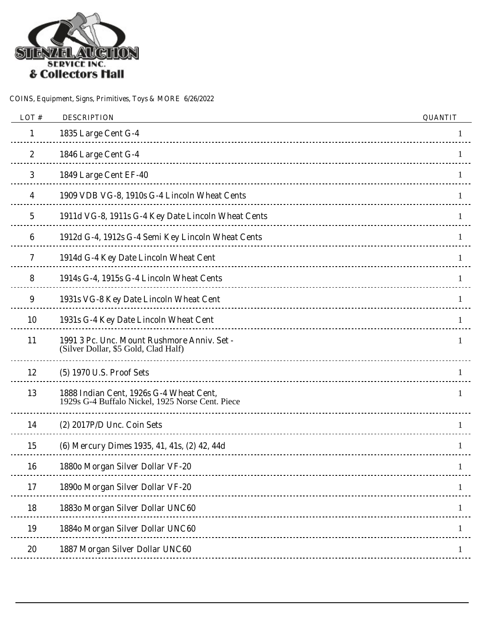

| LOT#      | <b>DESCRIPTION</b>                                                                          | <b>QUANTIT</b> |
|-----------|---------------------------------------------------------------------------------------------|----------------|
| 1         | 1835 Large Cent G-4                                                                         | 1              |
| 2         | 1846 Large Cent G-4                                                                         |                |
| 3         | 1849 Large Cent EF-40                                                                       |                |
| 4         | 1909 VDB VG-8, 1910s G-4 Lincoln Wheat Cents                                                | 1              |
| 5         | 1911d VG-8, 1911s G-4 Key Date Lincoln Wheat Cents                                          | 1              |
| 6         | 1912d G-4, 1912s G-4 Semi Key Lincoln Wheat Cents                                           | $\mathbf{1}$   |
| 7         | 1914d G-4 Key Date Lincoln Wheat Cent                                                       | 1              |
| 8         | 1914s G-4, 1915s G-4 Lincoln Wheat Cents                                                    | 1.             |
| 9         | 1931s VG-8 Key Date Lincoln Wheat Cent                                                      |                |
| <b>10</b> | 1931s G-4 Key Date Lincoln Wheat Cent                                                       |                |
| 11        | 1991 3 Pc. Unc. Mount Rushmore Anniv. Set -<br>(Silver Dollar, \$5 Gold, Clad Half)         | 1              |
| 12        | (5) 1970 U.S. Proof Sets                                                                    | 1              |
| 13        | 1888 Indian Cent, 1926s G-4 Wheat Cent,<br>1929s G-4 Buffalo Nickel, 1925 Norse Cent. Piece | 1              |
| 14        | $(2)$ 2017P/D Unc. Coin Sets                                                                |                |
| 15        | (6) Mercury Dimes 1935, 41, 41s, (2) 42, 44d                                                |                |
| 16        | 1880o Morgan Silver Dollar VF-20                                                            |                |
| 17        | 1890o Morgan Silver Dollar VF-20                                                            |                |
| 18        | 18830 Morgan Silver Dollar UNC60                                                            |                |
| 19        | 1884o Morgan Silver Dollar UNC60                                                            |                |
| 20        | 1887 Morgan Silver Dollar UNC60                                                             |                |
|           |                                                                                             |                |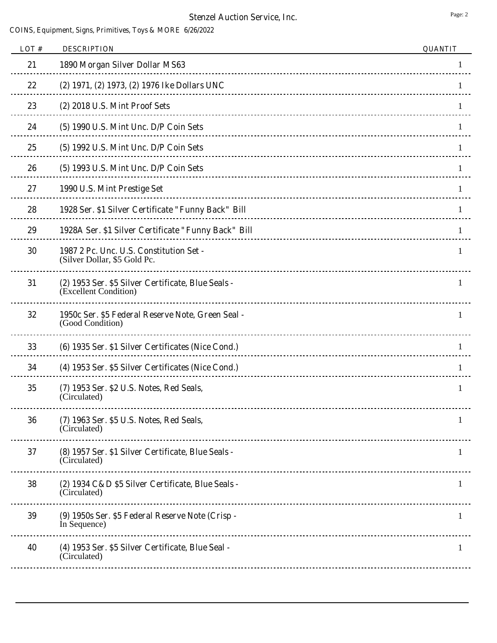| LOT# | <b>DESCRIPTION</b>                                                          | <b>QUANTIT</b> |
|------|-----------------------------------------------------------------------------|----------------|
| 21   | 1890 Morgan Silver Dollar MS63                                              |                |
| 22   | (2) 1971, (2) 1973, (2) 1976 Ike Dollars UNC                                |                |
| 23   | (2) 2018 U.S. Mint Proof Sets                                               |                |
| 24   | (5) 1990 U.S. Mint Unc. D/P Coin Sets                                       |                |
| 25   | (5) 1992 U.S. Mint Unc. D/P Coin Sets                                       | 1              |
| 26   | (5) 1993 U.S. Mint Unc. D/P Coin Sets                                       | 1              |
| 27   | 1990 U.S. Mint Prestige Set                                                 |                |
| 28   | 1928 Ser. \$1 Silver Certificate "Funny Back" Bill                          | 1              |
| 29   | 1928A Ser. \$1 Silver Certificate "Funny Back" Bill                         |                |
| 30   | 1987 2 Pc. Unc. U.S. Constitution Set -<br>(Silver Dollar, \$5 Gold Pc.     | 1              |
| 31   | (2) 1953 Ser. \$5 Silver Certificate, Blue Seals -<br>(Excellent Condition) | 1              |
| 32   | 1950c Ser. \$5 Federal Reserve Note, Green Seal -<br>(Good Condition)       | 1              |
| 33   | (6) 1935 Ser. \$1 Silver Certificates (Nice Cond.)                          |                |
| 34   | (4) 1953 Ser. \$5 Silver Certificates (Nice Cond.)                          | 1.             |
| 35   | (7) 1953 Ser. \$2 U.S. Notes, Red Seals,<br>(Circulated)                    | 1              |
| 36   | (7) 1963 Ser. \$5 U.S. Notes, Red Seals,<br>(Circulated)                    | 1              |
| 37   | (8) 1957 Ser. \$1 Silver Certificate, Blue Seals -<br>(Circulated)          | 1              |
| 38   | (2) 1934 C&D \$5 Silver Certificate, Blue Seals -<br>(Circulated)           | 1              |
| 39   | (9) 1950s Ser. \$5 Federal Reserve Note (Crisp -<br>In Sequence)            | 1              |
| 40   | (4) 1953 Ser. \$5 Silver Certificate, Blue Seal -<br>(Circulated)           | 1              |
|      |                                                                             |                |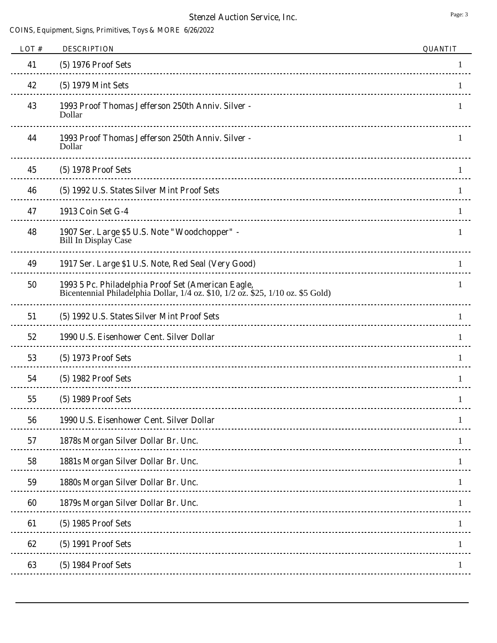| LOT# | <b>DESCRIPTION</b>                                                                                                                     | <b>QUANTIT</b> |
|------|----------------------------------------------------------------------------------------------------------------------------------------|----------------|
| 41   | (5) 1976 Proof Sets                                                                                                                    |                |
| 42   | (5) 1979 Mint Sets                                                                                                                     | $\mathbf{I}$   |
| 43   | 1993 Proof Thomas Jefferson 250th Anniv. Silver -<br>Dollar                                                                            |                |
| 44   | 1993 Proof Thomas Jefferson 250th Anniv. Silver -<br>Dollar                                                                            |                |
| 45   | (5) 1978 Proof Sets                                                                                                                    | 1              |
| 46   | (5) 1992 U.S. States Silver Mint Proof Sets                                                                                            | 1.             |
| 47   | 1913 Coin Set G-4                                                                                                                      |                |
| 48   | 1907 Ser. Large \$5 U.S. Note "Woodchopper" -<br>Bill In Display Case                                                                  | 1.             |
| 49   | 1917 Ser. Large \$1 U.S. Note, Red Seal (Very Good)                                                                                    |                |
| 50   | 1993 5 Pc. Philadelphia Proof Set (American Eagle,<br>Bicentennial Philadelphia Dollar, 1/4 oz. \$10, 1/2 oz. \$25, 1/10 oz. \$5 Gold) | 1              |
| 51   | (5) 1992 U.S. States Silver Mint Proof Sets                                                                                            | 1              |
| 52   | 1990 U.S. Eisenhower Cent. Silver Dollar                                                                                               | 1              |
| 53   | (5) 1973 Proof Sets                                                                                                                    |                |
| 54   | (5) 1982 Proof Sets                                                                                                                    |                |
| 55   | (5) 1989 Proof Sets                                                                                                                    |                |
| 56   | 1990 U.S. Eisenhower Cent. Silver Dollar                                                                                               |                |
| 57   | 1878s Morgan Silver Dollar Br. Unc.                                                                                                    |                |
| 58   | 1881s Morgan Silver Dollar Br. Unc.                                                                                                    |                |
| 59   | 1880s Morgan Silver Dollar Br. Unc.                                                                                                    |                |
| 60   | 1879s Morgan Silver Dollar Br. Unc.                                                                                                    |                |
| 61   | (5) 1985 Proof Sets                                                                                                                    |                |
| 62   | (5) 1991 Proof Sets                                                                                                                    |                |
| 63   | (5) 1984 Proof Sets                                                                                                                    |                |
|      |                                                                                                                                        |                |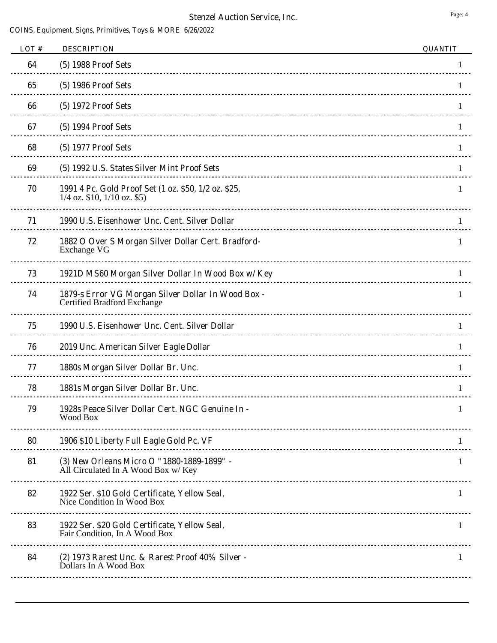| LOT# | <b>DESCRIPTION</b>                                                                      | <b>QUANTIT</b> |
|------|-----------------------------------------------------------------------------------------|----------------|
| 64   | (5) 1988 Proof Sets                                                                     |                |
| 65   | (5) 1986 Proof Sets                                                                     |                |
| 66   | (5) 1972 Proof Sets                                                                     |                |
| 67   | (5) 1994 Proof Sets                                                                     |                |
| 68   | (5) 1977 Proof Sets                                                                     |                |
| 69   | (5) 1992 U.S. States Silver Mint Proof Sets                                             | 1              |
| 70   | 1991 4 Pc. Gold Proof Set (1 oz. \$50, 1/2 oz. \$25,<br>$1/4$ oz. \$10, $1/10$ oz. \$5) | 1              |
| 71   | 1990 U.S. Eisenhower Unc. Cent. Silver Dollar                                           | 1              |
| 72   | 1882 O Over S Morgan Silver Dollar Cert. Bradford-<br>Exchange VG                       |                |
| 73   | 1921D MS60 Morgan Silver Dollar In Wood Box w/ Key                                      |                |
| 74   | 1879-s Error VG Morgan Silver Dollar In Wood Box -<br>Certified Bradford Exchange       | 1              |
| 75   | 1990 U.S. Eisenhower Unc. Cent. Silver Dollar                                           | 1              |
| 76   | 2019 Unc. American Silver Eagle Dollar                                                  |                |
| 77   | 1880s Morgan Silver Dollar Br. Unc.                                                     |                |
| 78   | 1881s Morgan Silver Dollar Br. Unc.                                                     |                |
| 79   | 1928s Peace Silver Dollar Cert. NGC Genuine In -<br>Wood Box                            |                |
| 80   | 1906 \$10 Liberty Full Eagle Gold Pc. VF                                                | 1              |
| 81   | (3) New Orleans Micro O "1880-1889-1899" -<br>All Circulated In A Wood Box w/ Key       | 1              |
| 82   | 1922 Ser. \$10 Gold Certificate, Yellow Seal,<br>Nice Condition In Wood Box             | 1              |
| 83   | 1922 Ser. \$20 Gold Certificate, Yellow Seal,<br>Fair Condition, In A Wood Box          | $\mathbf{1}$   |
| 84   | (2) 1973 Rarest Unc. & Rarest Proof 40% Silver -<br>Dollars In A Wood Box               | 1              |
|      |                                                                                         |                |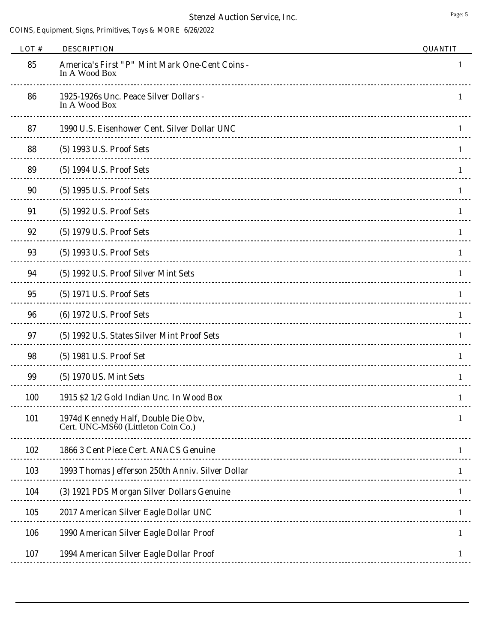| LOT $#$    | <b>DESCRIPTION</b>                                                         | <b>QUANTIT</b> |
|------------|----------------------------------------------------------------------------|----------------|
| 85         | <b>America's First "P" Mint Mark One-Cent Coins -</b><br>In A Wood Box     | 1              |
| 86         | 1925-1926s Unc. Peace Silver Dollars -<br>In A Wood Box                    | 1              |
| 87         | 1990 U.S. Eisenhower Cent. Silver Dollar UNC                               |                |
| 88         | (5) 1993 U.S. Proof Sets                                                   |                |
| 89         | (5) 1994 U.S. Proof Sets                                                   | 1.             |
| 90         | (5) 1995 U.S. Proof Sets                                                   | Τ.             |
| 91         | (5) 1992 U.S. Proof Sets                                                   |                |
| 92         | (5) 1979 U.S. Proof Sets                                                   |                |
| 93         | (5) 1993 U.S. Proof Sets                                                   |                |
| 94         | (5) 1992 U.S. Proof Silver Mint Sets                                       |                |
| 95         | (5) 1971 U.S. Proof Sets                                                   |                |
| 96         | (6) 1972 U.S. Proof Sets                                                   | 1              |
| 97         | (5) 1992 U.S. States Silver Mint Proof Sets                                | 1              |
| 98         | (5) 1981 U.S. Proof Set                                                    |                |
| 99         | (5) 1970 US. Mint Sets                                                     |                |
| <b>100</b> | 1915 \$2 1/2 Gold Indian Unc. In Wood Box                                  |                |
| 101        | 1974d Kennedy Half, Double Die Obv,<br>Cert. UNC-MS60 (Littleton Coin Co.) | 1              |
| 102        | 1866 3 Cent Piece Cert. ANACS Genuine                                      | 1              |
| 103        | 1993 Thomas Jefferson 250th Anniv. Silver Dollar                           |                |
| 104        | (3) 1921 PDS Morgan Silver Dollars Genuine                                 |                |
| 105        | 2017 American Silver Eagle Dollar UNC                                      |                |
| 106        | 1990 American Silver Eagle Dollar Proof                                    | 1              |
| 107        | 1994 American Silver Eagle Dollar Proof                                    |                |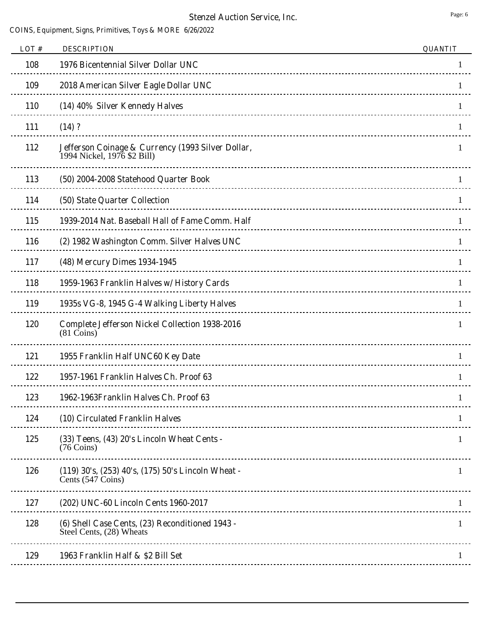| LOT# | <b>DESCRIPTION</b>                                                                | <b>QUANTIT</b> |
|------|-----------------------------------------------------------------------------------|----------------|
| 108  | 1976 Bicentennial Silver Dollar UNC                                               |                |
| 109  | 2018 American Silver Eagle Dollar UNC                                             |                |
| 110  | (14) 40% Silver Kennedy Halves                                                    |                |
| 111  | (14) ?                                                                            |                |
| 112  | Jefferson Coinage & Currency (1993 Silver Dollar,<br>1994 Nickel, 1976 \$2 Bill)  |                |
| 113  | (50) 2004-2008 Statehood Quarter Book                                             |                |
| 114  | (50) State Quarter Collection                                                     |                |
| 115  | 1939-2014 Nat. Baseball Hall of Fame Comm. Half                                   |                |
| 116  | (2) 1982 Washington Comm. Silver Halves UNC                                       |                |
| 117  | (48) Mercury Dimes 1934-1945                                                      |                |
| 118  | 1959-1963 Franklin Halves w/ History Cards                                        | 1              |
| 119  | 1935s VG-8, 1945 G-4 Walking Liberty Halves                                       | 1              |
| 120  | <b>Complete Jefferson Nickel Collection 1938-2016</b><br>$(81 \overline{Co}$ ins) |                |
| 121  | 1955 Franklin Half UNC60 Key Date                                                 |                |
| 122  | 1957-1961 Franklin Halves Ch. Proof 63                                            |                |
| 123  | 1962-1963Franklin Halves Ch. Proof 63                                             |                |
| 124  | (10) Circulated Franklin Halves                                                   |                |
| 125  | (33) Teens, (43) 20's Lincoln Wheat Cents -<br>$(76 \text{ Coins})$               | 1              |
| 126  | (119) 30's, (253) 40's, (175) 50's Lincoln Wheat -<br>Cents (547 Coins)           |                |
| 127  | (202) UNC-60 Lincoln Cents 1960-2017                                              |                |
| 128  | (6) Shell Case Cents, (23) Reconditioned 1943 -<br>Steel Cents, (28) Wheats       | 1              |
| 129  | 1963 Franklin Half & \$2 Bill Set                                                 |                |
|      |                                                                                   |                |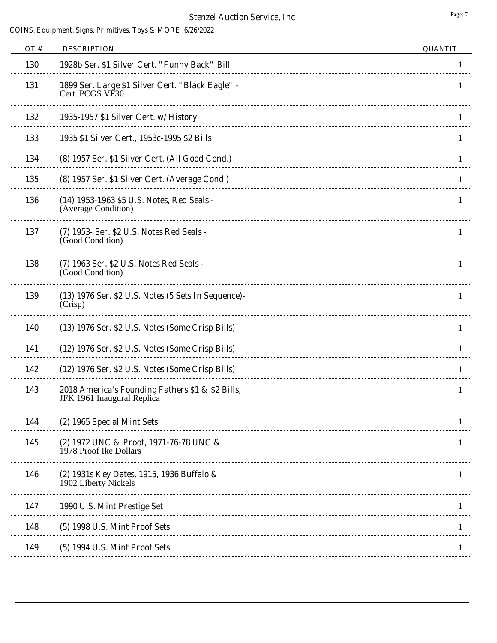| LOT# | <b>DESCRIPTION</b>                                                                                          | <b>QUANTIT</b> |
|------|-------------------------------------------------------------------------------------------------------------|----------------|
| 130  | 1928b Ser. \$1 Silver Cert. "Funny Back" Bill                                                               | 1              |
| 131  | 1899 Ser. Large \$1 Silver Cert. "Black Eagle" -<br>Cert. PCGS VF30                                         | 1.             |
| 132  | 1935-1957 \$1 Silver Cert. w/ History                                                                       | 1              |
| 133  | 1935 \$1 Silver Cert., 1953c-1995 \$2 Bills                                                                 | 1              |
| 134  | (8) 1957 Ser. \$1 Silver Cert. (All Good Cond.)                                                             | 1              |
| 135  | (8) 1957 Ser. \$1 Silver Cert. (Average Cond.)                                                              | 1              |
| 136  | (14) 1953-1963 \$5 U.S. Notes, Red Seals -<br>(Average Condition)                                           | 1              |
| 137  | (7) 1953- Ser. \$2 U.S. Notes Red Seals -<br>(Good Condition)                                               | 1              |
| 138  | (7) 1963 Ser. \$2 U.S. Notes Red Seals -<br>(Good Condition)                                                | 1              |
| 139  | (13) 1976 Ser. \$2 U.S. Notes (5 Sets In Sequence)-<br>(Crisp)<br><u>--------------------------------</u> - | 1              |
| 140  | (13) 1976 Ser. \$2 U.S. Notes (Some Crisp Bills)                                                            |                |
| 141  | (12) 1976 Ser. \$2 U.S. Notes (Some Crisp Bills)                                                            | 1              |
| 142  | (12) 1976 Ser. \$2 U.S. Notes (Some Crisp Bills)                                                            | 1              |
| 143  | 2018 America's Founding Fathers \$1 & \$2 Bills,<br>JFK 1961 Inaugural Replica                              | 1              |
| 144  | (2) 1965 Special Mint Sets                                                                                  |                |
| 145  | (2) 1972 UNC & Proof, 1971-76-78 UNC &<br>1978 Proof Ike Dollars                                            | 1              |
| 146  | (2) 1931s Key Dates, 1915, 1936 Buffalo &<br>1902 Liberty Nickels                                           | 1              |
| 147  | 1990 U.S. Mint Prestige Set                                                                                 | 1              |
| 148  | (5) 1998 U.S. Mint Proof Sets                                                                               |                |
| 149  | (5) 1994 U.S. Mint Proof Sets                                                                               |                |
|      |                                                                                                             |                |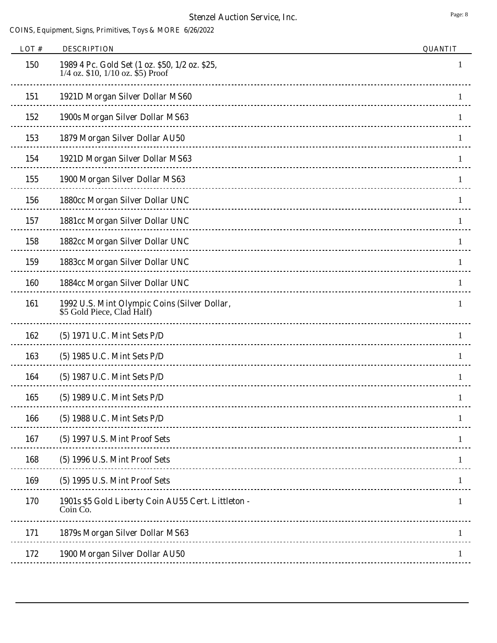| LOT# | <b>DESCRIPTION</b>                                                                      | <b>QUANTIT</b> |
|------|-----------------------------------------------------------------------------------------|----------------|
| 150  | 1989 4 Pc. Gold Set (1 oz. \$50, 1/2 oz. \$25,<br>$1/4$ oz. \$10, $1/10$ oz. \$5) Proof |                |
| 151  | 1921D Morgan Silver Dollar MS60                                                         |                |
| 152  | 1900s Morgan Silver Dollar MS63                                                         |                |
| 153  | 1879 Morgan Silver Dollar AU50                                                          | 1              |
| 154  | 1921D Morgan Silver Dollar MS63                                                         |                |
| 155  | 1900 Morgan Silver Dollar MS63                                                          |                |
| 156  | 1880cc Morgan Silver Dollar UNC                                                         |                |
| 157  | 1881cc Morgan Silver Dollar UNC                                                         |                |
| 158  | 1882cc Morgan Silver Dollar UNC                                                         |                |
| 159  | 1883cc Morgan Silver Dollar UNC                                                         | 1              |
| 160  | 1884cc Morgan Silver Dollar UNC                                                         | 1              |
| 161  | 1992 U.S. Mint Olympic Coins (Silver Dollar,<br>\$5 Gold Piece, Clad Half)              | 1              |
| 162  | (5) 1971 U.C. Mint Sets P/D                                                             |                |
| 163  | (5) 1985 U.C. Mint Sets P/D                                                             |                |
| 164  | (5) 1987 U.C. Mint Sets P/D                                                             |                |
| 165  | (5) 1989 U.C. Mint Sets P/D                                                             | 1              |
| 166  | (5) 1988 U.C. Mint Sets P/D                                                             |                |
| 167  | (5) 1997 U.S. Mint Proof Sets                                                           |                |
| 168  | (5) 1996 U.S. Mint Proof Sets                                                           |                |
| 169  | (5) 1995 U.S. Mint Proof Sets                                                           |                |
| 170  | 1901s \$5 Gold Liberty Coin AU55 Cert. Littleton -<br>Coin Co.                          | 1              |
| 171  | 1879s Morgan Silver Dollar MS63                                                         |                |
| 172  | 1900 Morgan Silver Dollar AU50                                                          |                |
|      |                                                                                         |                |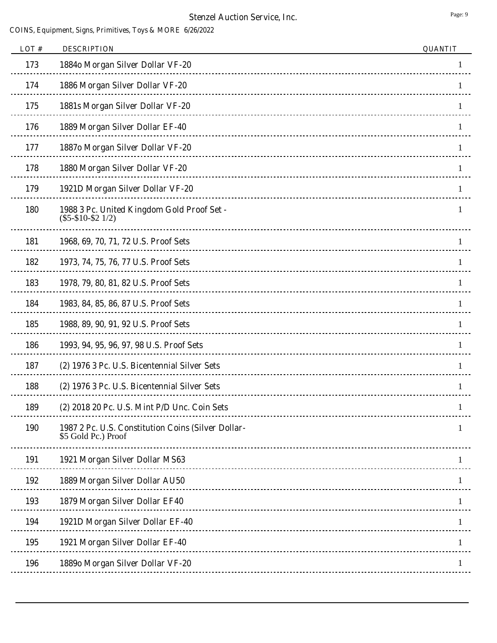| LOT# | <b>DESCRIPTION</b>                                                        | <b>QUANTIT</b> |
|------|---------------------------------------------------------------------------|----------------|
| 173  | 1884o Morgan Silver Dollar VF-20                                          | 1              |
| 174  | 1886 Morgan Silver Dollar VF-20                                           |                |
| 175  | 1881s Morgan Silver Dollar VF-20                                          |                |
| 176  | 1889 Morgan Silver Dollar EF-40                                           | 1              |
| 177  | 18870 Morgan Silver Dollar VF-20                                          | 1              |
| 178  | 1880 Morgan Silver Dollar VF-20                                           | 1              |
| 179  | 1921D Morgan Silver Dollar VF-20                                          |                |
| 180  | 1988 3 Pc. United Kingdom Gold Proof Set -<br>$(\$5 - \$10 - \$21/2)$     |                |
| 181  | 1968, 69, 70, 71, 72 U.S. Proof Sets                                      |                |
| 182  | 1973, 74, 75, 76, 77 U.S. Proof Sets                                      | 1              |
| 183  | 1978, 79, 80, 81, 82 U.S. Proof Sets                                      | 1              |
| 184  | 1983, 84, 85, 86, 87 U.S. Proof Sets                                      | 1              |
| 185  | 1988, 89, 90, 91, 92 U.S. Proof Sets                                      | 1              |
| 186  | 1993, 94, 95, 96, 97, 98 U.S. Proof Sets                                  |                |
| 187  | (2) 1976 3 Pc. U.S. Bicentennial Silver Sets                              |                |
| 188  | (2) 1976 3 Pc. U.S. Bicentennial Silver Sets                              |                |
| 189  | (2) 2018 20 Pc. U.S. Mint P/D Unc. Coin Sets                              |                |
| 190  | 1987 2 Pc. U.S. Constitution Coins (Silver Dollar-<br>\$5 Gold Pc.) Proof | 1              |
| 191  | 1921 Morgan Silver Dollar MS63                                            |                |
| 192  | 1889 Morgan Silver Dollar AU50                                            |                |
| 193  | 1879 Morgan Silver Dollar EF40                                            |                |
| 194  | 1921D Morgan Silver Dollar EF-40                                          |                |
| 195  | 1921 Morgan Silver Dollar EF-40                                           | 1              |
| 196  | 1889o Morgan Silver Dollar VF-20                                          |                |
|      |                                                                           |                |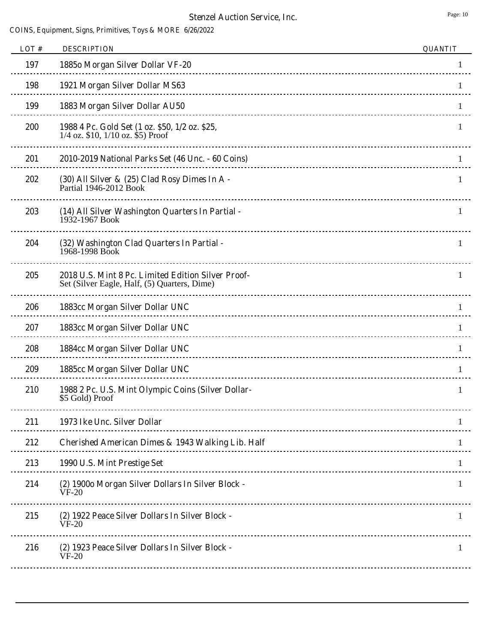| LOT# | <b>DESCRIPTION</b>                                                                                 | <b>QUANTIT</b> |
|------|----------------------------------------------------------------------------------------------------|----------------|
| 197  | 18850 Morgan Silver Dollar VF-20                                                                   |                |
| 198  | 1921 Morgan Silver Dollar MS63                                                                     |                |
| 199  | 1883 Morgan Silver Dollar AU50                                                                     |                |
| 200  | 1988 4 Pc. Gold Set (1 oz. \$50, 1/2 oz. \$25,<br>$1/4$ oz. \$10, $1/10$ oz. \$5) Proof            | 1              |
| 201  | 2010-2019 National Parks Set (46 Unc. - 60 Coins)<br>---------------------------------             | 1              |
| 202  | (30) All Silver & (25) Clad Rosy Dimes In A -<br>Partial 1946-2012 Book                            | 1              |
| 203  | (14) All Silver Washington Quarters In Partial -<br>1932-1967 Book                                 | 1              |
| 204  | (32) Washington Clad Quarters In Partial -<br>1968-1998 Book                                       | 1              |
| 205  | 2018 U.S. Mint 8 Pc. Limited Edition Silver Proof-<br>Set (Silver Eagle, Half, (5) Quarters, Dime) | 1              |
| 206  | 1883cc Morgan Silver Dollar UNC                                                                    |                |
| 207  | 1883cc Morgan Silver Dollar UNC                                                                    |                |
| 208  | 1884cc Morgan Silver Dollar UNC                                                                    | 1              |
| 209  | 1885cc Morgan Silver Dollar UNC                                                                    |                |
| 210  | 1988 2 Pc. U.S. Mint Olympic Coins (Silver Dollar-<br>\$5 Gold) Proof                              | 1              |
| 211  | 1973 Ike Unc. Silver Dollar                                                                        |                |
| 212  | Cherished American Dimes & 1943 Walking Lib. Half                                                  |                |
| 213  | 1990 U.S. Mint Prestige Set                                                                        | 1              |
| 214  | (2) 1900o Morgan Silver Dollars In Silver Block -<br>$VF-20$                                       | $\mathbf{1}$   |
| 215  | (2) 1922 Peace Silver Dollars In Silver Block -<br>$VF-20$                                         | 1              |
| 216  | (2) 1923 Peace Silver Dollars In Silver Block -<br>$VF-20$                                         | 1              |
|      |                                                                                                    |                |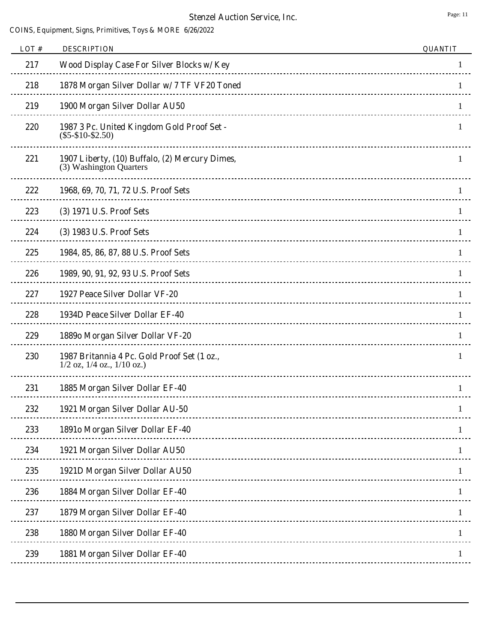## **Stenzel Auction Service, Inc.** Page: 11

| LOT# | <b>DESCRIPTION</b>                                                              | <b>QUANTIT</b> |
|------|---------------------------------------------------------------------------------|----------------|
| 217  | Wood Display Case For Silver Blocks w/ Key                                      | 1              |
| 218  | 1878 Morgan Silver Dollar w/ 7 TF VF20 Toned                                    |                |
| 219  | 1900 Morgan Silver Dollar AU50                                                  |                |
| 220  | 1987 3 Pc. United Kingdom Gold Proof Set -<br>$(\$5 - \$10 - \$2.50)$           | 1              |
| 221  | 1907 Liberty, (10) Buffalo, (2) Mercury Dimes,<br>(3) Washington Quarters       | 1              |
| 222  | 1968, 69, 70, 71, 72 U.S. Proof Sets                                            |                |
| 223  | (3) 1971 U.S. Proof Sets                                                        |                |
| 224  | (3) 1983 U.S. Proof Sets                                                        |                |
| 225  | 1984, 85, 86, 87, 88 U.S. Proof Sets                                            | 1              |
| 226  | 1989, 90, 91, 92, 93 U.S. Proof Sets                                            | 1              |
| 227  | 1927 Peace Silver Dollar VF-20                                                  | 1              |
| 228  | 1934D Peace Silver Dollar EF-40                                                 |                |
| 229  | 1889o Morgan Silver Dollar VF-20                                                |                |
| 230  | 1987 Britannia 4 Pc. Gold Proof Set (1 oz.,<br>$1/2$ oz, $1/4$ oz., $1/10$ oz.) | 1              |
| 231  | 1885 Morgan Silver Dollar EF-40                                                 | 1              |
| 232  | 1921 Morgan Silver Dollar AU-50                                                 | 1              |
| 233  | 1891o Morgan Silver Dollar EF-40                                                |                |
| 234  | 1921 Morgan Silver Dollar AU50                                                  |                |
| 235  | 1921D Morgan Silver Dollar AU50                                                 |                |
| 236  | 1884 Morgan Silver Dollar EF-40                                                 |                |
| 237  | 1879 Morgan Silver Dollar EF-40                                                 | 1              |
| 238  | 1880 Morgan Silver Dollar EF-40                                                 | 1              |
| 239  | 1881 Morgan Silver Dollar EF-40                                                 |                |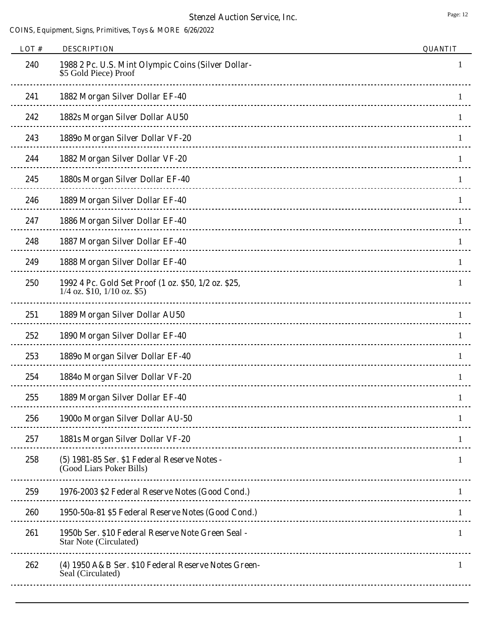| LOT# | <b>DESCRIPTION</b>                                                                      | <b>QUANTIT</b> |
|------|-----------------------------------------------------------------------------------------|----------------|
| 240  | 1988 2 Pc. U.S. Mint Olympic Coins (Silver Dollar-<br>\$5 Gold Piece) Proof             |                |
| 241  | 1882 Morgan Silver Dollar EF-40                                                         |                |
| 242  | 1882s Morgan Silver Dollar AU50                                                         | 1              |
| 243  | 1889o Morgan Silver Dollar VF-20                                                        | 1              |
| 244  | 1882 Morgan Silver Dollar VF-20                                                         |                |
| 245  | 1880s Morgan Silver Dollar EF-40                                                        |                |
| 246  | 1889 Morgan Silver Dollar EF-40                                                         |                |
| 247  | 1886 Morgan Silver Dollar EF-40                                                         |                |
| 248  | 1887 Morgan Silver Dollar EF-40                                                         |                |
| 249  | 1888 Morgan Silver Dollar EF-40                                                         | 1              |
| 250  | 1992 4 Pc. Gold Set Proof (1 oz. \$50, 1/2 oz. \$25,<br>$1/4$ oz. \$10, $1/10$ oz. \$5) | 1              |
| 251  | 1889 Morgan Silver Dollar AU50                                                          |                |
| 252  | 1890 Morgan Silver Dollar EF-40                                                         |                |
| 253  | 1889o Morgan Silver Dollar EF-40                                                        |                |
| 254  | 1884o Morgan Silver Dollar VF-20                                                        |                |
| 255  | 1889 Morgan Silver Dollar EF-40                                                         | 1              |
| 256  | 1900o Morgan Silver Dollar AU-50                                                        |                |
| 257  | 1881s Morgan Silver Dollar VF-20                                                        |                |
| 258  | (5) 1981-85 Ser. \$1 Federal Reserve Notes -<br>(Good Liars Poker Bills)                | 1              |
| 259  | 1976-2003 \$2 Federal Reserve Notes (Good Cond.)                                        | 1              |
| 260  | 1950-50a-81 \$5 Federal Reserve Notes (Good Cond.)                                      | 1              |
| 261  | 1950b Ser. \$10 Federal Reserve Note Green Seal -<br>Star Note (Circulated)             | 1              |
| 262  | (4) 1950 A&B Ser. \$10 Federal Reserve Notes Green-<br>Seal (Circulated)                | 1              |
|      |                                                                                         |                |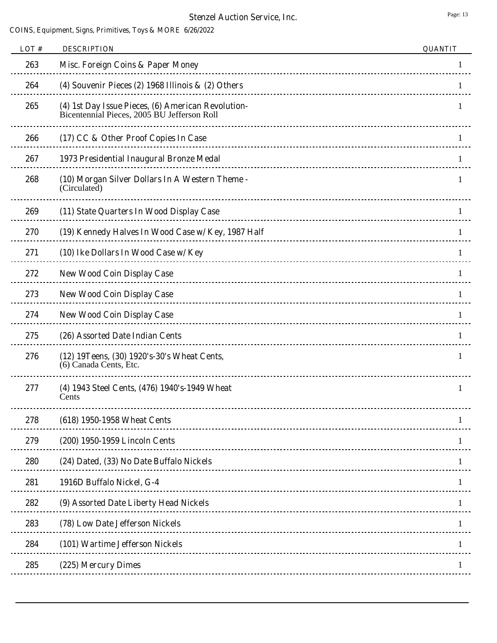| LOT# | <b>DESCRIPTION</b>                                                                                | <b>QUANTIT</b> |
|------|---------------------------------------------------------------------------------------------------|----------------|
| 263  | Misc. Foreign Coins & Paper Money                                                                 |                |
| 264  | (4) Souvenir Pieces (2) 1968 Illinois $\&$ (2) Others                                             |                |
| 265  | (4) 1st Day Issue Pieces, (6) American Revolution-<br>Bicentennial Pieces, 2005 BU Jefferson Roll |                |
| 266  | (17) CC & Other Proof Copies In Case                                                              |                |
| 267  | 1973 Presidential Inaugural Bronze Medal                                                          | 1              |
| 268  | (10) Morgan Silver Dollars In A Western Theme -<br>(Circulated)                                   | 1              |
| 269  | (11) State Quarters In Wood Display Case                                                          |                |
| 270  | (19) Kennedy Halves In Wood Case w/ Key, 1987 Half                                                |                |
| 271  | (10) Ike Dollars In Wood Case w/ Key                                                              |                |
| 272  | <b>New Wood Coin Display Case</b>                                                                 |                |
| 273  | <b>New Wood Coin Display Case</b>                                                                 | 1              |
| 274  | <b>New Wood Coin Display Case</b>                                                                 |                |
| 275  | (26) Assorted Date Indian Cents                                                                   |                |
| 276  | (12) 19 Teens, (30) 1920's-30's Wheat Cents,<br>(6) Canada Cents, Etc.                            |                |
| 277  | (4) 1943 Steel Cents, (476) 1940's-1949 Wheat<br>Cents                                            | 1              |
| 278  | (618) 1950-1958 Wheat Cents                                                                       |                |
| 279  | (200) 1950-1959 Lincoln Cents                                                                     |                |
| 280  | (24) Dated, (33) No Date Buffalo Nickels                                                          |                |
| 281  | 1916D Buffalo Nickel, G-4                                                                         |                |
| 282  | (9) Assorted Date Liberty Head Nickels                                                            |                |
| 283  | (78) Low Date Jefferson Nickels                                                                   |                |
| 284  | (101) Wartime Jefferson Nickels                                                                   |                |
| 285  | (225) Mercury Dimes                                                                               |                |
|      |                                                                                                   |                |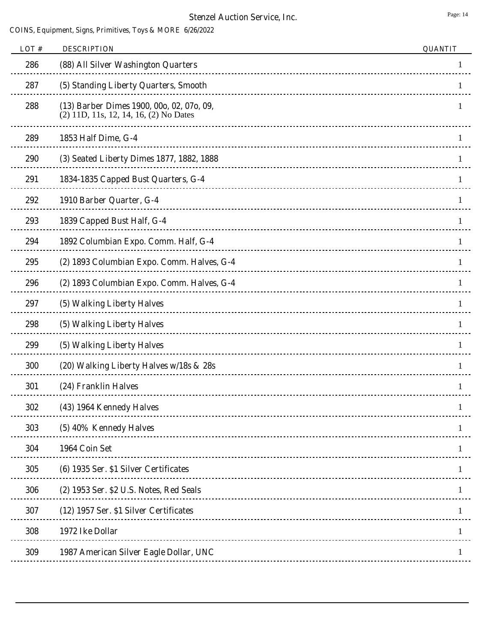| LOT# | <b>DESCRIPTION</b>                                                                  | <b>QUANTIT</b> |
|------|-------------------------------------------------------------------------------------|----------------|
| 286  | (88) All Silver Washington Quarters                                                 |                |
| 287  | (5) Standing Liberty Quarters, Smooth                                               |                |
| 288  | (13) Barber Dimes 1900, 00o, 02, 07o, 09,<br>(2) 11D, 11s, 12, 14, 16, (2) No Dates |                |
| 289  | 1853 Half Dime, G-4                                                                 |                |
| 290  | (3) Seated Liberty Dimes 1877, 1882, 1888                                           | Ι.             |
| 291  | 1834-1835 Capped Bust Quarters, G-4                                                 |                |
| 292  | 1910 Barber Quarter, G-4                                                            |                |
| 293  | 1839 Capped Bust Half, G-4                                                          |                |
| 294  | 1892 Columbian Expo. Comm. Half, G-4                                                |                |
| 295  | (2) 1893 Columbian Expo. Comm. Halves, G-4                                          |                |
| 296  | (2) 1893 Columbian Expo. Comm. Halves, G-4                                          |                |
| 297  | (5) Walking Liberty Halves                                                          |                |
| 298  | (5) Walking Liberty Halves                                                          |                |
| 299  | (5) Walking Liberty Halves                                                          |                |
| 300  | (20) Walking Liberty Halves w/18s & 28s                                             |                |
| 301  | (24) Franklin Halves                                                                |                |
| 302  | (43) 1964 Kennedy Halves                                                            |                |
| 303  | (5) 40% Kennedy Halves                                                              |                |
| 304  | 1964 Coin Set                                                                       |                |
| 305  | (6) 1935 Ser. \$1 Silver Certificates                                               |                |
| 306  | (2) 1953 Ser. \$2 U.S. Notes, Red Seals                                             |                |
| 307  | (12) 1957 Ser. \$1 Silver Certificates                                              |                |
| 308  | 1972 Ike Dollar                                                                     |                |
| 309  | 1987 American Silver Eagle Dollar, UNC                                              |                |
|      |                                                                                     |                |